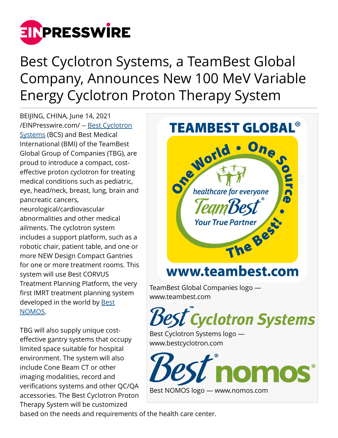

Best Cyclotron Systems, a TeamBest Global Company, Announces New 100 MeV Variable Energy Cyclotron Proton Therapy System

BEIJING, CHINA, June 14, 2021 [/EINPresswire.com/](http://www.einpresswire.com) -- [Best Cyclotron](http://www.bestcyclotron.com) [Systems](http://www.bestcyclotron.com) (BCS) and Best Medical International (BMI) of the TeamBest Global Group of Companies (TBG), are proud to introduce a compact, costeffective proton cyclotron for treating medical conditions such as pediatric, eye, head/neck, breast, lung, brain and pancreatic cancers, neurological/cardiovascular abnormalities and other medical ailments. The cyclotron system includes a support platform, such as a robotic chair, patient table, and one or more NEW Design Compact Gantries for one or more treatment rooms. This system will use Best CORVUS Treatment Planning Platform, the very first IMRT treatment planning system developed in the world by **Best** [NOMOS](http://www.nomos.com).

TBG will also supply unique costeffective gantry systems that occupy limited space suitable for hospital environment. The system will also include Cone Beam CT or other imaging modalities, record and verifications systems and other QC/QA accessories. The Best Cyclotron Proton Therapy System will be customized



based on the needs and requirements of the health care center.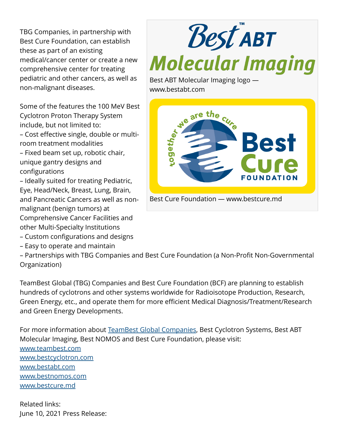TBG Companies, in partnership with Best Cure Foundation, can establish these as part of an existing medical/cancer center or create a new comprehensive center for treating pediatric and other cancers, as well as non-malignant diseases.

Some of the features the 100 MeV Best Cyclotron Proton Therapy System include, but not limited to: – Cost effective single, double or multiroom treatment modalities – Fixed beam set up, robotic chair, unique gantry designs and configurations – Ideally suited for treating Pediatric,

Eye, Head/Neck, Breast, Lung, Brain, and Pancreatic Cancers as well as nonmalignant (benign tumors) at Comprehensive Cancer Facilities and other Multi-Specialty Institutions

– Custom configurations and designs

– Easy to operate and maintain

**Best ABT Molecular Imaging** 

Best ABT Molecular Imaging logo www.bestabt.com



– Partnerships with TBG Companies and Best Cure Foundation (a Non-Profit Non-Governmental Organization)

TeamBest Global (TBG) Companies and Best Cure Foundation (BCF) are planning to establish hundreds of cyclotrons and other systems worldwide for Radioisotope Production, Research, Green Energy, etc., and operate them for more efficient Medical Diagnosis/Treatment/Research and Green Energy Developments.

For more information about [TeamBest Global Companies,](http://www.teambest.com) Best Cyclotron Systems, Best ABT Molecular Imaging, Best NOMOS and Best Cure Foundation, please visit: [www.teambest.com](http://www.teambest.com) [www.bestcyclotron.com](http://www.bestcyclotron.com) [www.bestabt.com](http://www.bestabt.com) [www.bestnomos.com](http://www.bestnomos.com) [www.bestcure.md](http://www.bestcure.md)

Related links: June 10, 2021 Press Release: